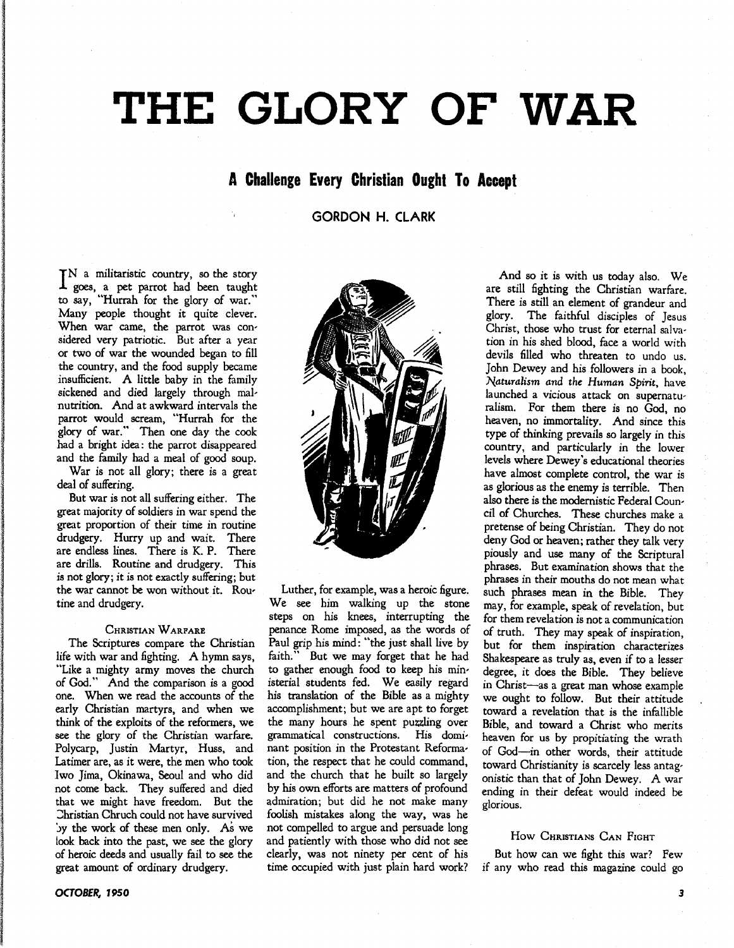# **THE GLORY OF WAR**

### **A Challenge Every Christian Ought To Accept**

**GORDON H. CLARK** 

IN a militaristic country, so the story<br>I goes, a pet parrot had been taught goes, a pet parrot had been taught to say, "Hurrah for the glory of war." Many people thought it quite clever. When war came, the parrot was con' sidered very patriotic. But after a year or two of war the wounded began to fill the country, and the food supply became insufficient. A little baby in the family sickened and died largely through malnutrition. And at awkward intervals the parrot would scream, "Hurrah for the glory of war." Then one day the cook had a bright idea: the parrot disappeared and the family had a meal of good soup.

War is not all glory; there is a great deal of suffering.

But war is not all suffering either. The great majority of soldiers in war spend the great proportion of their time in routine drudgery. Hurry up and wait. There are endless lines. There is K. P. There are drills. Routine and drudgery. This is not glory; it is not exactly suffering; but the war cannot be won without it. Routine and drudgery.

#### CHRISTIAN WARFARE

The Scriptures compare the Christian life with war and fighting. A hymn says, "Like a mighty army moves the church of God." And the comparison is a good one. When we read the accounts of the early Christian martyrs, and when we think of the exploits of the reformers, we see the glory of the Christian warfare. Polycarp, Justin Martyr, Huss, and Latimer are, as it were, the men who took Iwo Jima, Okinawa, Seoul and who did not come back. They suffered and died that we might have freedom. But the Christian Chruch could not have survived Jy the work of these men only. As we look back into the past, we see the glory of heroic deeds and usually fail to see the great amount of ordinary drudgery.

**OCTOBER, 1950** 



Luther, for example, was a heroic figure. We see him walking up the stone steps on his knees, interrupting the penance Rome imposed, as the words of Paul grip his mind: "the just shall live by faith." But we may forget that he had Faut we may forget that he had to gather enough food to keep his min' isterial students fed. We easily regard his translation of the Bible as a mighty accomplishment; but we are apt to forget the many hours he spent puzzling over<br>grammatical constructions. His domigrammatical constructions. nant position in the Protestant Reformation, the respect that he could command, and the church that he built so largely by his own efforts are matters of profound admiration; but did he not make many foolish mistakes along the way, was he not compelled to argue and persuade long and patiently with those who did not see clearly, was not ninety per cent of his time occupied with just plain hard work?

And so it is with us today also. We are still fighting the Christian warfare. There is still an element of grandeur and glory. The faithful disciples of Jesus Christ, those who trust for eternal salvation in his shed blood, face a world with devils filled who threaten to undo us. John Dewey and his followers in a book, *Naturalism and the Human Spirit, have* launched a vicious attack on supernaturalism. For them there is no God, no heaven, no immortality. And since this type of thinking prevails so largely in this country, and particularly in the lower levels where Dewey's educational theories have almost complete control, the war is as glorious as the enemy is terrible. Then also there is the modernistic Federal Council of Churches. These churches make a pretense of being Christian. They do not deny God or heaven; rather they talk very piously and use many of the Scriptural phrases. But examination shows that the phrases in their mouths do not mean what such phrases mean in the Bible. They may, for example, speak of revelation, but for them revelation is not a communication of truth. They may speak of inspiration, but for them inspiration characterizes Shakespeare as truly as, even if to a lesser degree, it does the Bible. They believe in Christ-as a great man whose example we ought to follow. But their attitude toward a revelation that is the infallible Bible, and toward a Christ who merits heaven for us by propitiating the wrath of God-in other words, their attitude toward Christianity is scarcely less antagonistic than that of John Dewey. A war ending in their defeat would indeed be glorious.

#### How CHRISTIANS CAN FIGHT

But how can we fight this war? Few if any who read this magazine could go